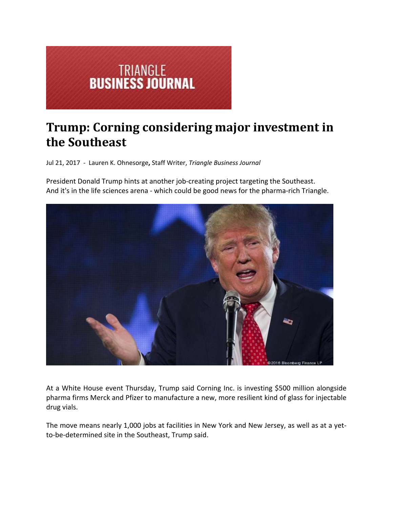

## **Trump: Corning considering major investment in the Southeast**

Jul 21, 2017 ‐ Lauren K. Ohnesorge**,** Staff Writer, *Triangle Business Journal*

President Donald Trump hints at another job‐creating project targeting the Southeast. And it's in the life sciences arena ‐ which could be good news for the pharma‐rich Triangle.



At a White House event Thursday, Trump said Corning Inc. is investing \$500 million alongside pharma firms Merck and Pfizer to manufacture a new, more resilient kind of glass for injectable drug vials.

The move means nearly 1,000 jobs at facilities in New York and New Jersey, as well as at a yet‐ to‐be‐determined site in the Southeast, Trump said.